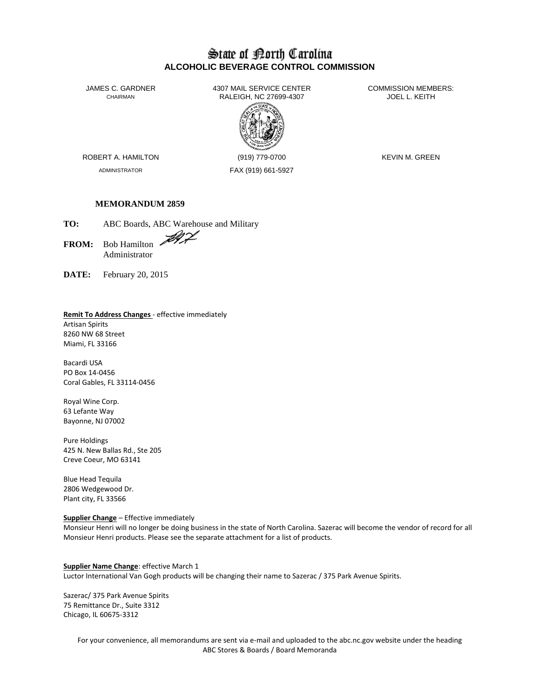## State of Borth Carolina **ALCOHOLIC BEVERAGE CONTROL COMMISSION**

JAMES C. GARDNER 4307 MAIL SERVICE CENTER<br>CHAIRMAN CHAIRMAN RALEIGH. NC 27699-4307 RALEIGH, NC 27699-4307



ADMINISTRATOR FAX (919) 661-5927

ROBERT A. HAMILTON (919) 779-0700 KEVIN M. GREEN

## **MEMORANDUM 2859**

**TO:** ABC Boards, ABC Warehouse and Military

FROM: Bob Hamilton Administrator

**DATE:** February 20, 2015

#### **Remit To Address Changes** - effective immediately

Artisan Spirits 8260 NW 68 Street Miami, FL 33166

Bacardi USA PO Box 14-0456 Coral Gables, FL 33114-0456

Royal Wine Corp. 63 Lefante Way Bayonne, NJ 07002

Pure Holdings 425 N. New Ballas Rd., Ste 205 Creve Coeur, MO 63141

Blue Head Tequila 2806 Wedgewood Dr. Plant city, FL 33566

#### **Supplier Change** – Effective immediately

Monsieur Henri will no longer be doing business in the state of North Carolina. Sazerac will become the vendor of record for all Monsieur Henri products. Please see the separate attachment for a list of products.

**Supplier Name Change**: effective March 1 Luctor International Van Gogh products will be changing their name to Sazerac / 375 Park Avenue Spirits.

Sazerac/ 375 Park Avenue Spirits 75 Remittance Dr., Suite 3312 Chicago, IL 60675-3312

> For your convenience, all memorandums are sent via e-mail and uploaded to the abc.nc.gov website under the heading ABC Stores & Boards / Board Memoranda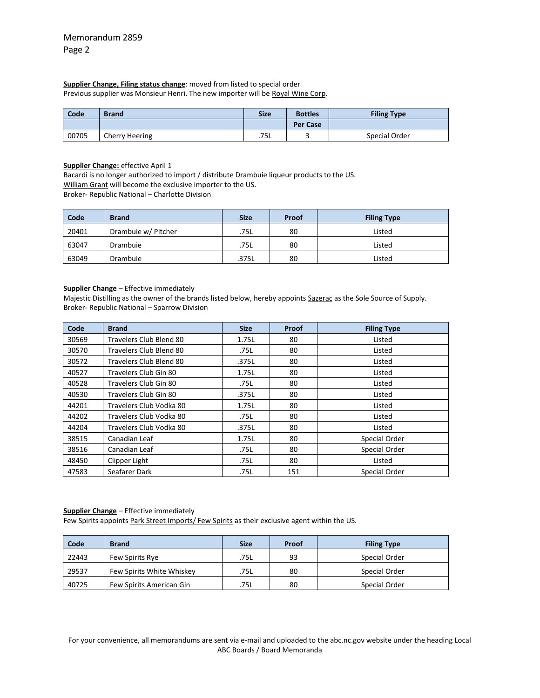# **Supplier Change, Filing status change**: moved from listed to special order

Previous supplier was Monsieur Henri. The new importer will be Royal Wine Corp.

| Code  | <b>Brand</b>   | <b>Size</b> | <b>Bottles</b>  | <b>Filing Type</b> |
|-------|----------------|-------------|-----------------|--------------------|
|       |                |             | <b>Per Case</b> |                    |
| 00705 | Cherry Heering | .75L        |                 | Special Order      |

## **Supplier Change:** effective April 1

Bacardi is no longer authorized to import / distribute Drambuie liqueur products to the US.

William Grant will become the exclusive importer to the US.

Broker- Republic National – Charlotte Division

| Code  | <b>Brand</b>        | <b>Size</b> | Proof | <b>Filing Type</b> |
|-------|---------------------|-------------|-------|--------------------|
| 20401 | Drambuie w/ Pitcher | .75L        | 80    | Listed             |
| 63047 | Drambuie            | .75L        | 80    | Listed             |
| 63049 | Drambuie            | .375L       | 80    | Listed             |

#### **Supplier Change** – Effective immediately

Majestic Distilling as the owner of the brands listed below, hereby appoints Sazerac as the Sole Source of Supply. Broker- Republic National – Sparrow Division

| Code  | <b>Brand</b>            | <b>Size</b> | Proof | <b>Filing Type</b> |
|-------|-------------------------|-------------|-------|--------------------|
| 30569 | Travelers Club Blend 80 | 1.75L       | 80    | Listed             |
| 30570 | Travelers Club Blend 80 | .75L        | 80    | Listed             |
| 30572 | Travelers Club Blend 80 | .375L       | 80    | Listed             |
| 40527 | Travelers Club Gin 80   | 1.75L       | 80    | Listed             |
| 40528 | Travelers Club Gin 80   | .75L        | 80    | Listed             |
| 40530 | Travelers Club Gin 80   | .375L       | 80    | Listed             |
| 44201 | Travelers Club Vodka 80 | 1.75L       | 80    | Listed             |
| 44202 | Travelers Club Vodka 80 | .75L        | 80    | Listed             |
| 44204 | Travelers Club Vodka 80 | .375L       | 80    | Listed             |
| 38515 | Canadian Leaf           | 1.75L       | 80    | Special Order      |
| 38516 | Canadian Leaf           | .75L        | 80    | Special Order      |
| 48450 | Clipper Light           | .75L        | 80    | Listed             |
| 47583 | Seafarer Dark           | .75L        | 151   | Special Order      |

#### **Supplier Change** – Effective immediately

Few Spirits appoints Park Street Imports/ Few Spirits as their exclusive agent within the US.

| Code  | <b>Brand</b>              | <b>Size</b> | Proof | <b>Filing Type</b> |
|-------|---------------------------|-------------|-------|--------------------|
| 22443 | Few Spirits Rye           | .75L        | 93    | Special Order      |
| 29537 | Few Spirits White Whiskey | .75L        | 80    | Special Order      |
| 40725 | Few Spirits American Gin  | .75L        | 80    | Special Order      |

For your convenience, all memorandums are sent via e-mail and uploaded to the abc.nc.gov website under the heading Local ABC Boards / Board Memoranda